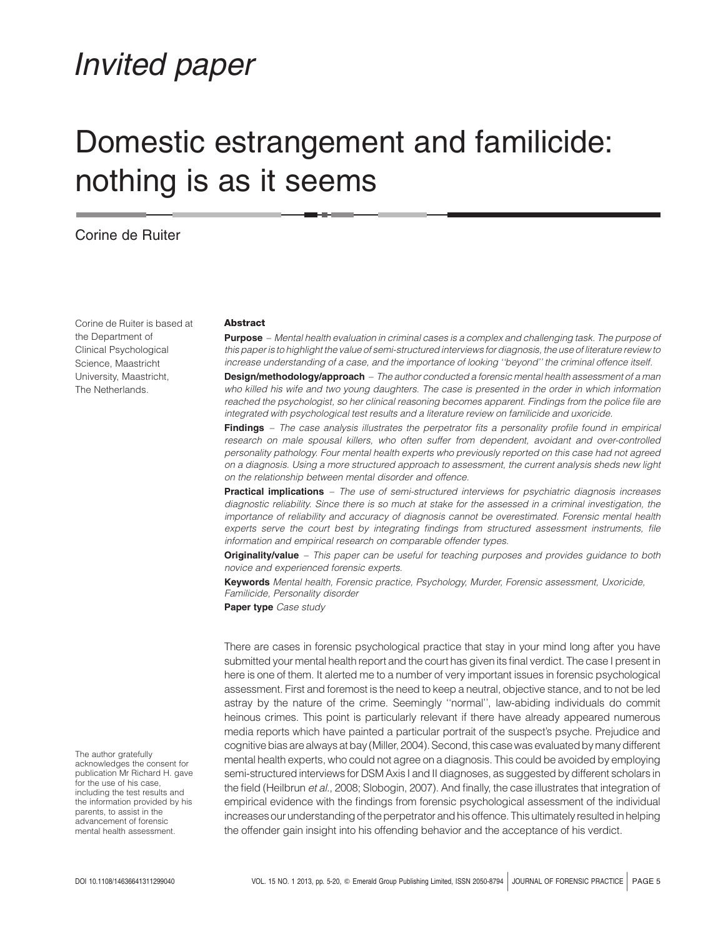## Invited paper

# Domestic estrangement and familicide: nothing is as it seems

## Corine de Ruiter

Corine de Ruiter is based at the Department of Clinical Psychological Science, Maastricht University, Maastricht, The Netherlands.

#### Abstract

**Purpose** – Mental health evaluation in criminal cases is a complex and challenging task. The purpose of this paper is to highlight the value of semi-structured interviews for diagnosis, the use of literature review to increase understanding of a case, and the importance of looking ''beyond'' the criminal offence itself.

**Design/methodology/approach** – The author conducted a forensic mental health assessment of a man who killed his wife and two young daughters. The case is presented in the order in which information reached the psychologist, so her clinical reasoning becomes apparent. Findings from the police file are integrated with psychological test results and a literature review on familicide and uxoricide.

Findings – The case analysis illustrates the perpetrator fits a personality profile found in empirical research on male spousal killers, who often suffer from dependent, avoidant and over-controlled personality pathology. Four mental health experts who previously reported on this case had not agreed on a diagnosis. Using a more structured approach to assessment, the current analysis sheds new light on the relationship between mental disorder and offence.

**Practical implications** – The use of semi-structured interviews for psychiatric diagnosis increases diagnostic reliability. Since there is so much at stake for the assessed in a criminal investigation, the importance of reliability and accuracy of diagnosis cannot be overestimated. Forensic mental health experts serve the court best by integrating findings from structured assessment instruments, file information and empirical research on comparable offender types.

**Originality/value** – This paper can be useful for teaching purposes and provides guidance to both novice and experienced forensic experts.

Keywords Mental health, Forensic practice, Psychology, Murder, Forensic assessment, Uxoricide, Familicide, Personality disorder

Paper type Case study

There are cases in forensic psychological practice that stay in your mind long after you have submitted your mental health report and the court has given its final verdict. The case I present in here is one of them. It alerted me to a number of very important issues in forensic psychological assessment. First and foremost is the need to keep a neutral, objective stance, and to not be led astray by the nature of the crime. Seemingly ''normal'', law-abiding individuals do commit heinous crimes. This point is particularly relevant if there have already appeared numerous media reports which have painted a particular portrait of the suspect's psyche. Prejudice and cognitive bias are always at bay (Miller, 2004). Second, this case was evaluated by many different mental health experts, who could not agree on a diagnosis. This could be avoided by employing semi-structured interviews for DSM Axis I and II diagnoses, as suggested by different scholars in the field (Heilbrun et al., 2008; Slobogin, 2007). And finally, the case illustrates that integration of empirical evidence with the findings from forensic psychological assessment of the individual increases our understanding of the perpetrator and his offence. This ultimately resulted in helping the offender gain insight into his offending behavior and the acceptance of his verdict.

The author gratefully acknowledges the consent for publication Mr Richard H. gave for the use of his case, including the test results and the information provided by his parents, to assist in the advancement of forensic mental health assessment.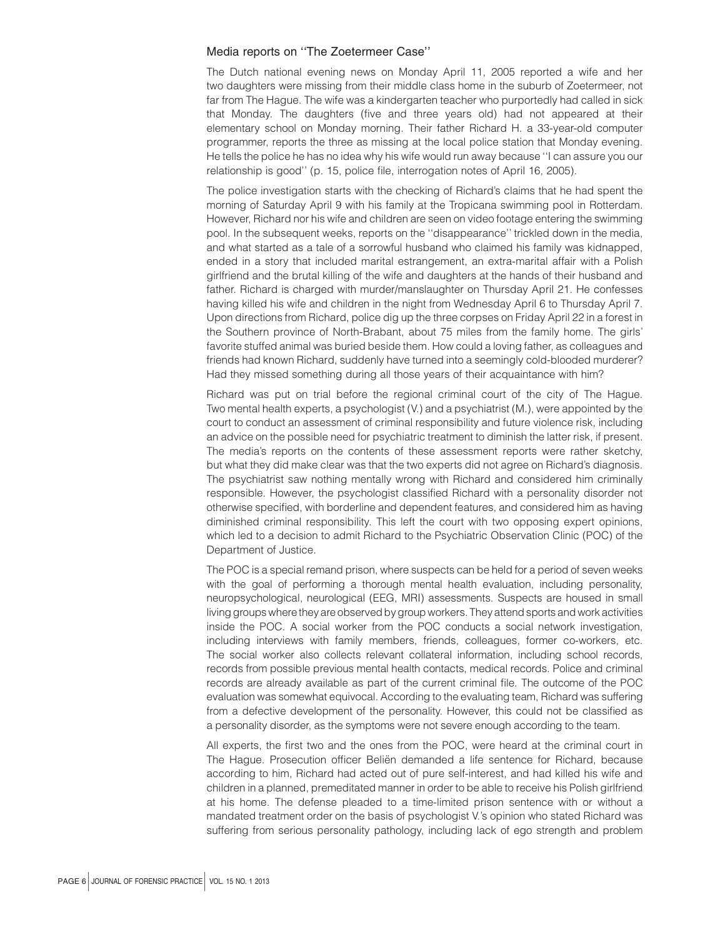## Media reports on ''The Zoetermeer Case''

The Dutch national evening news on Monday April 11, 2005 reported a wife and her two daughters were missing from their middle class home in the suburb of Zoetermeer, not far from The Hague. The wife was a kindergarten teacher who purportedly had called in sick that Monday. The daughters (five and three years old) had not appeared at their elementary school on Monday morning. Their father Richard H. a 33-year-old computer programmer, reports the three as missing at the local police station that Monday evening. He tells the police he has no idea why his wife would run away because ''I can assure you our relationship is good'' (p. 15, police file, interrogation notes of April 16, 2005).

The police investigation starts with the checking of Richard's claims that he had spent the morning of Saturday April 9 with his family at the Tropicana swimming pool in Rotterdam. However, Richard nor his wife and children are seen on video footage entering the swimming pool. In the subsequent weeks, reports on the ''disappearance'' trickled down in the media, and what started as a tale of a sorrowful husband who claimed his family was kidnapped, ended in a story that included marital estrangement, an extra-marital affair with a Polish girlfriend and the brutal killing of the wife and daughters at the hands of their husband and father. Richard is charged with murder/manslaughter on Thursday April 21. He confesses having killed his wife and children in the night from Wednesday April 6 to Thursday April 7. Upon directions from Richard, police dig up the three corpses on Friday April 22 in a forest in the Southern province of North-Brabant, about 75 miles from the family home. The girls' favorite stuffed animal was buried beside them. How could a loving father, as colleagues and friends had known Richard, suddenly have turned into a seemingly cold-blooded murderer? Had they missed something during all those years of their acquaintance with him?

Richard was put on trial before the regional criminal court of the city of The Hague. Two mental health experts, a psychologist (V.) and a psychiatrist (M.), were appointed by the court to conduct an assessment of criminal responsibility and future violence risk, including an advice on the possible need for psychiatric treatment to diminish the latter risk, if present. The media's reports on the contents of these assessment reports were rather sketchy, but what they did make clear was that the two experts did not agree on Richard's diagnosis. The psychiatrist saw nothing mentally wrong with Richard and considered him criminally responsible. However, the psychologist classified Richard with a personality disorder not otherwise specified, with borderline and dependent features, and considered him as having diminished criminal responsibility. This left the court with two opposing expert opinions, which led to a decision to admit Richard to the Psychiatric Observation Clinic (POC) of the Department of Justice.

The POC is a special remand prison, where suspects can be held for a period of seven weeks with the goal of performing a thorough mental health evaluation, including personality, neuropsychological, neurological (EEG, MRI) assessments. Suspects are housed in small living groups where they are observed by group workers. They attend sports and work activities inside the POC. A social worker from the POC conducts a social network investigation, including interviews with family members, friends, colleagues, former co-workers, etc. The social worker also collects relevant collateral information, including school records, records from possible previous mental health contacts, medical records. Police and criminal records are already available as part of the current criminal file. The outcome of the POC evaluation was somewhat equivocal. According to the evaluating team, Richard was suffering from a defective development of the personality. However, this could not be classified as a personality disorder, as the symptoms were not severe enough according to the team.

All experts, the first two and the ones from the POC, were heard at the criminal court in The Hague. Prosecution officer Beliën demanded a life sentence for Richard, because according to him, Richard had acted out of pure self-interest, and had killed his wife and children in a planned, premeditated manner in order to be able to receive his Polish girlfriend at his home. The defense pleaded to a time-limited prison sentence with or without a mandated treatment order on the basis of psychologist V.'s opinion who stated Richard was suffering from serious personality pathology, including lack of ego strength and problem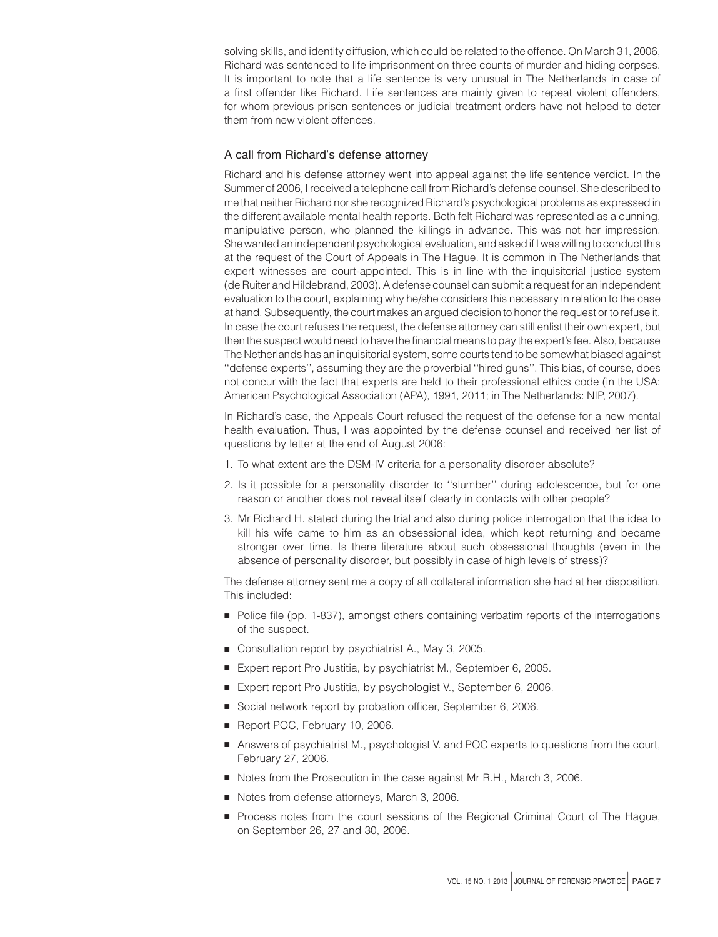solving skills, and identity diffusion, which could be related to the offence. On March 31, 2006, Richard was sentenced to life imprisonment on three counts of murder and hiding corpses. It is important to note that a life sentence is very unusual in The Netherlands in case of a first offender like Richard. Life sentences are mainly given to repeat violent offenders, for whom previous prison sentences or judicial treatment orders have not helped to deter them from new violent offences.

## A call from Richard's defense attorney

Richard and his defense attorney went into appeal against the life sentence verdict. In the Summer of 2006, I received a telephone call from Richard's defense counsel. She described to me that neither Richard nor she recognized Richard's psychological problems as expressed in the different available mental health reports. Both felt Richard was represented as a cunning, manipulative person, who planned the killings in advance. This was not her impression. She wanted an independent psychological evaluation, and asked if I was willing to conduct this at the request of the Court of Appeals in The Hague. It is common in The Netherlands that expert witnesses are court-appointed. This is in line with the inquisitorial justice system (de Ruiter and Hildebrand, 2003). A defense counsel can submit a request for an independent evaluation to the court, explaining why he/she considers this necessary in relation to the case at hand. Subsequently, the court makes an argued decision to honor the request or to refuse it. In case the court refuses the request, the defense attorney can still enlist their own expert, but then the suspect would need to have the financial means to pay the expert's fee. Also, because The Netherlands has an inquisitorial system, some courts tend to be somewhat biased against ''defense experts'', assuming they are the proverbial ''hired guns''. This bias, of course, does not concur with the fact that experts are held to their professional ethics code (in the USA: American Psychological Association (APA), 1991, 2011; in The Netherlands: NIP, 2007).

In Richard's case, the Appeals Court refused the request of the defense for a new mental health evaluation. Thus, I was appointed by the defense counsel and received her list of questions by letter at the end of August 2006:

- 1. To what extent are the DSM-IV criteria for a personality disorder absolute?
- 2. Is it possible for a personality disorder to ''slumber'' during adolescence, but for one reason or another does not reveal itself clearly in contacts with other people?
- 3. Mr Richard H. stated during the trial and also during police interrogation that the idea to kill his wife came to him as an obsessional idea, which kept returning and became stronger over time. Is there literature about such obsessional thoughts (even in the absence of personality disorder, but possibly in case of high levels of stress)?

The defense attorney sent me a copy of all collateral information she had at her disposition. This included:

- **Police file (pp. 1-837), amongst others containing verbatim reports of the interrogations** of the suspect.
- Consultation report by psychiatrist A., May 3, 2005.
- Expert report Pro Justitia, by psychiatrist M., September 6, 2005.
- Expert report Pro Justitia, by psychologist V., September 6, 2006.
- Social network report by probation officer, September 6, 2006.
- Report POC, February 10, 2006.
- Answers of psychiatrist M., psychologist V. and POC experts to questions from the court, February 27, 2006.
- Notes from the Prosecution in the case against Mr R.H., March 3, 2006.
- Notes from defense attorneys, March 3, 2006.
- **Process notes from the court sessions of the Regional Criminal Court of The Hague,** on September 26, 27 and 30, 2006.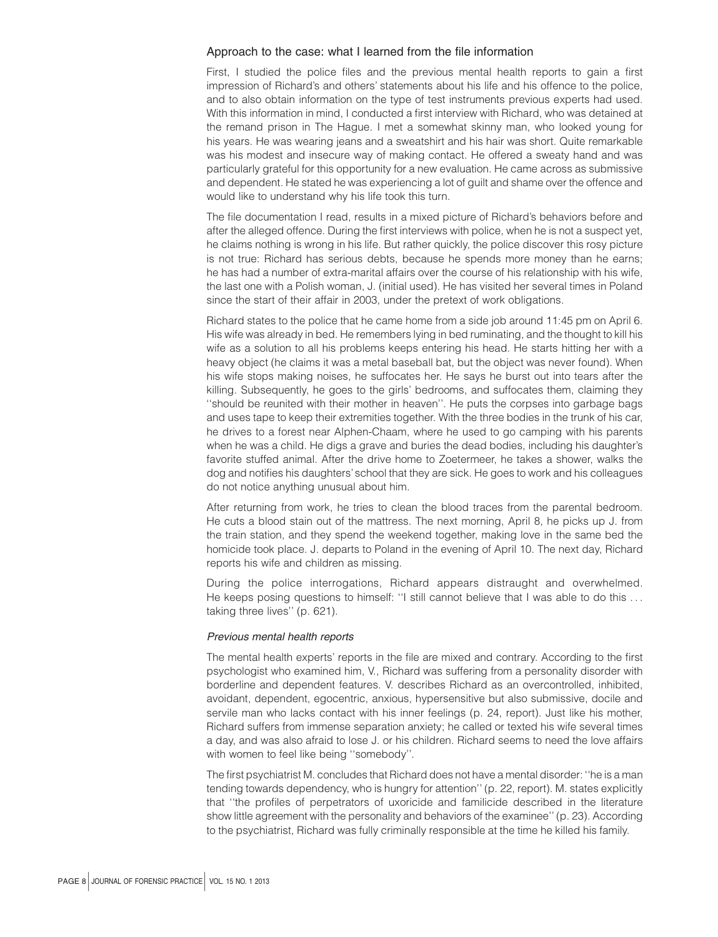#### Approach to the case: what I learned from the file information

First, I studied the police files and the previous mental health reports to gain a first impression of Richard's and others' statements about his life and his offence to the police, and to also obtain information on the type of test instruments previous experts had used. With this information in mind, I conducted a first interview with Richard, who was detained at the remand prison in The Hague. I met a somewhat skinny man, who looked young for his years. He was wearing jeans and a sweatshirt and his hair was short. Quite remarkable was his modest and insecure way of making contact. He offered a sweaty hand and was particularly grateful for this opportunity for a new evaluation. He came across as submissive and dependent. He stated he was experiencing a lot of guilt and shame over the offence and would like to understand why his life took this turn.

The file documentation I read, results in a mixed picture of Richard's behaviors before and after the alleged offence. During the first interviews with police, when he is not a suspect yet, he claims nothing is wrong in his life. But rather quickly, the police discover this rosy picture is not true: Richard has serious debts, because he spends more money than he earns; he has had a number of extra-marital affairs over the course of his relationship with his wife, the last one with a Polish woman, J. (initial used). He has visited her several times in Poland since the start of their affair in 2003, under the pretext of work obligations.

Richard states to the police that he came home from a side job around 11:45 pm on April 6. His wife was already in bed. He remembers lying in bed ruminating, and the thought to kill his wife as a solution to all his problems keeps entering his head. He starts hitting her with a heavy object (he claims it was a metal baseball bat, but the object was never found). When his wife stops making noises, he suffocates her. He says he burst out into tears after the killing. Subsequently, he goes to the girls' bedrooms, and suffocates them, claiming they ''should be reunited with their mother in heaven''. He puts the corpses into garbage bags and uses tape to keep their extremities together. With the three bodies in the trunk of his car, he drives to a forest near Alphen-Chaam, where he used to go camping with his parents when he was a child. He digs a grave and buries the dead bodies, including his daughter's favorite stuffed animal. After the drive home to Zoetermeer, he takes a shower, walks the dog and notifies his daughters' school that they are sick. He goes to work and his colleagues do not notice anything unusual about him.

After returning from work, he tries to clean the blood traces from the parental bedroom. He cuts a blood stain out of the mattress. The next morning, April 8, he picks up J. from the train station, and they spend the weekend together, making love in the same bed the homicide took place. J. departs to Poland in the evening of April 10. The next day, Richard reports his wife and children as missing.

During the police interrogations, Richard appears distraught and overwhelmed. He keeps posing questions to himself: "I still cannot believe that I was able to do this ... taking three lives'' (p. 621).

#### Previous mental health reports

The mental health experts' reports in the file are mixed and contrary. According to the first psychologist who examined him, V., Richard was suffering from a personality disorder with borderline and dependent features. V. describes Richard as an overcontrolled, inhibited, avoidant, dependent, egocentric, anxious, hypersensitive but also submissive, docile and servile man who lacks contact with his inner feelings (p. 24, report). Just like his mother, Richard suffers from immense separation anxiety; he called or texted his wife several times a day, and was also afraid to lose J. or his children. Richard seems to need the love affairs with women to feel like being ''somebody''.

The first psychiatrist M. concludes that Richard does not have a mental disorder: ''he is a man tending towards dependency, who is hungry for attention'' (p. 22, report). M. states explicitly that ''the profiles of perpetrators of uxoricide and familicide described in the literature show little agreement with the personality and behaviors of the examinee'' (p. 23). According to the psychiatrist, Richard was fully criminally responsible at the time he killed his family.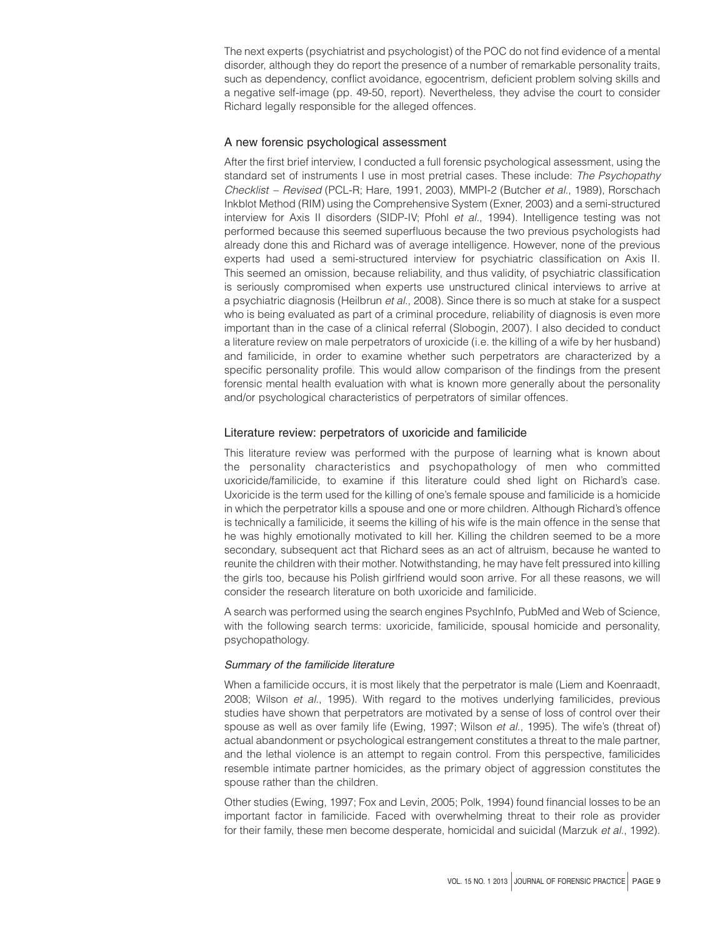The next experts (psychiatrist and psychologist) of the POC do not find evidence of a mental disorder, although they do report the presence of a number of remarkable personality traits, such as dependency, conflict avoidance, egocentrism, deficient problem solving skills and a negative self-image (pp. 49-50, report). Nevertheless, they advise the court to consider Richard legally responsible for the alleged offences.

## A new forensic psychological assessment

After the first brief interview, I conducted a full forensic psychological assessment, using the standard set of instruments I use in most pretrial cases. These include: The Psychopathy Checklist – Revised (PCL-R; Hare, 1991, 2003), MMPI-2 (Butcher et al., 1989), Rorschach Inkblot Method (RIM) using the Comprehensive System (Exner, 2003) and a semi-structured interview for Axis II disorders (SIDP-IV; Pfohl et al., 1994). Intelligence testing was not performed because this seemed superfluous because the two previous psychologists had already done this and Richard was of average intelligence. However, none of the previous experts had used a semi-structured interview for psychiatric classification on Axis II. This seemed an omission, because reliability, and thus validity, of psychiatric classification is seriously compromised when experts use unstructured clinical interviews to arrive at a psychiatric diagnosis (Heilbrun et al., 2008). Since there is so much at stake for a suspect who is being evaluated as part of a criminal procedure, reliability of diagnosis is even more important than in the case of a clinical referral (Slobogin, 2007). I also decided to conduct a literature review on male perpetrators of uroxicide (i.e. the killing of a wife by her husband) and familicide, in order to examine whether such perpetrators are characterized by a specific personality profile. This would allow comparison of the findings from the present forensic mental health evaluation with what is known more generally about the personality and/or psychological characteristics of perpetrators of similar offences.

## Literature review: perpetrators of uxoricide and familicide

This literature review was performed with the purpose of learning what is known about the personality characteristics and psychopathology of men who committed uxoricide/familicide, to examine if this literature could shed light on Richard's case. Uxoricide is the term used for the killing of one's female spouse and familicide is a homicide in which the perpetrator kills a spouse and one or more children. Although Richard's offence is technically a familicide, it seems the killing of his wife is the main offence in the sense that he was highly emotionally motivated to kill her. Killing the children seemed to be a more secondary, subsequent act that Richard sees as an act of altruism, because he wanted to reunite the children with their mother. Notwithstanding, he may have felt pressured into killing the girls too, because his Polish girlfriend would soon arrive. For all these reasons, we will consider the research literature on both uxoricide and familicide.

A search was performed using the search engines PsychInfo, PubMed and Web of Science, with the following search terms: uxoricide, familicide, spousal homicide and personality, psychopathology.

## Summary of the familicide literature

When a familicide occurs, it is most likely that the perpetrator is male (Liem and Koenraadt, 2008; Wilson et al., 1995). With regard to the motives underlying familicides, previous studies have shown that perpetrators are motivated by a sense of loss of control over their spouse as well as over family life (Ewing, 1997; Wilson et al., 1995). The wife's (threat of) actual abandonment or psychological estrangement constitutes a threat to the male partner, and the lethal violence is an attempt to regain control. From this perspective, familicides resemble intimate partner homicides, as the primary object of aggression constitutes the spouse rather than the children.

Other studies (Ewing, 1997; Fox and Levin, 2005; Polk, 1994) found financial losses to be an important factor in familicide. Faced with overwhelming threat to their role as provider for their family, these men become desperate, homicidal and suicidal (Marzuk et al., 1992).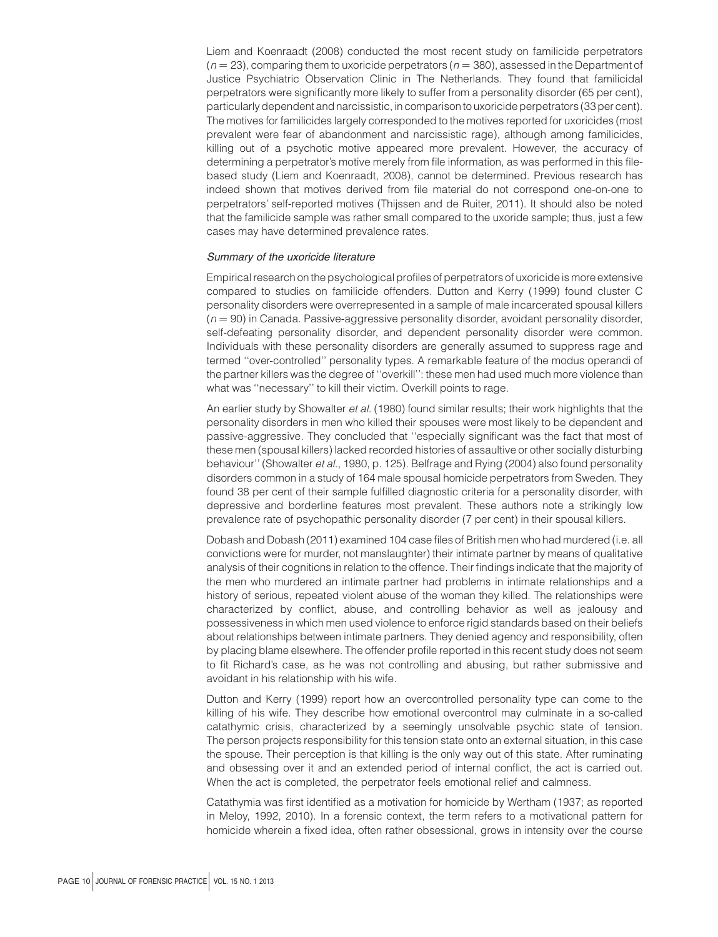Liem and Koenraadt (2008) conducted the most recent study on familicide perpetrators  $(n = 23)$ , comparing them to uxoricide perpetrators  $(n = 380)$ , assessed in the Department of Justice Psychiatric Observation Clinic in The Netherlands. They found that familicidal perpetrators were significantly more likely to suffer from a personality disorder (65 per cent), particularly dependent and narcissistic, in comparison to uxoricide perpetrators (33 per cent). The motives for familicides largely corresponded to the motives reported for uxoricides (most prevalent were fear of abandonment and narcissistic rage), although among familicides, killing out of a psychotic motive appeared more prevalent. However, the accuracy of determining a perpetrator's motive merely from file information, as was performed in this filebased study (Liem and Koenraadt, 2008), cannot be determined. Previous research has indeed shown that motives derived from file material do not correspond one-on-one to perpetrators' self-reported motives (Thijssen and de Ruiter, 2011). It should also be noted that the familicide sample was rather small compared to the uxoride sample; thus, just a few cases may have determined prevalence rates.

#### Summary of the uxoricide literature

Empirical research on the psychological profiles of perpetrators of uxoricide is more extensive compared to studies on familicide offenders. Dutton and Kerry (1999) found cluster C personality disorders were overrepresented in a sample of male incarcerated spousal killers  $(n = 90)$  in Canada. Passive-aggressive personality disorder, avoidant personality disorder, self-defeating personality disorder, and dependent personality disorder were common. Individuals with these personality disorders are generally assumed to suppress rage and termed ''over-controlled'' personality types. A remarkable feature of the modus operandi of the partner killers was the degree of ''overkill'': these men had used much more violence than what was ''necessary'' to kill their victim. Overkill points to rage.

An earlier study by Showalter et al. (1980) found similar results; their work highlights that the personality disorders in men who killed their spouses were most likely to be dependent and passive-aggressive. They concluded that ''especially significant was the fact that most of these men (spousal killers) lacked recorded histories of assaultive or other socially disturbing behaviour'' (Showalter et al., 1980, p. 125). Belfrage and Rying (2004) also found personality disorders common in a study of 164 male spousal homicide perpetrators from Sweden. They found 38 per cent of their sample fulfilled diagnostic criteria for a personality disorder, with depressive and borderline features most prevalent. These authors note a strikingly low prevalence rate of psychopathic personality disorder (7 per cent) in their spousal killers.

Dobash and Dobash (2011) examined 104 case files of British men who had murdered (i.e. all convictions were for murder, not manslaughter) their intimate partner by means of qualitative analysis of their cognitions in relation to the offence. Their findings indicate that the majority of the men who murdered an intimate partner had problems in intimate relationships and a history of serious, repeated violent abuse of the woman they killed. The relationships were characterized by conflict, abuse, and controlling behavior as well as jealousy and possessiveness in which men used violence to enforce rigid standards based on their beliefs about relationships between intimate partners. They denied agency and responsibility, often by placing blame elsewhere. The offender profile reported in this recent study does not seem to fit Richard's case, as he was not controlling and abusing, but rather submissive and avoidant in his relationship with his wife.

Dutton and Kerry (1999) report how an overcontrolled personality type can come to the killing of his wife. They describe how emotional overcontrol may culminate in a so-called catathymic crisis, characterized by a seemingly unsolvable psychic state of tension. The person projects responsibility for this tension state onto an external situation, in this case the spouse. Their perception is that killing is the only way out of this state. After ruminating and obsessing over it and an extended period of internal conflict, the act is carried out. When the act is completed, the perpetrator feels emotional relief and calmness.

Catathymia was first identified as a motivation for homicide by Wertham (1937; as reported in Meloy, 1992, 2010). In a forensic context, the term refers to a motivational pattern for homicide wherein a fixed idea, often rather obsessional, grows in intensity over the course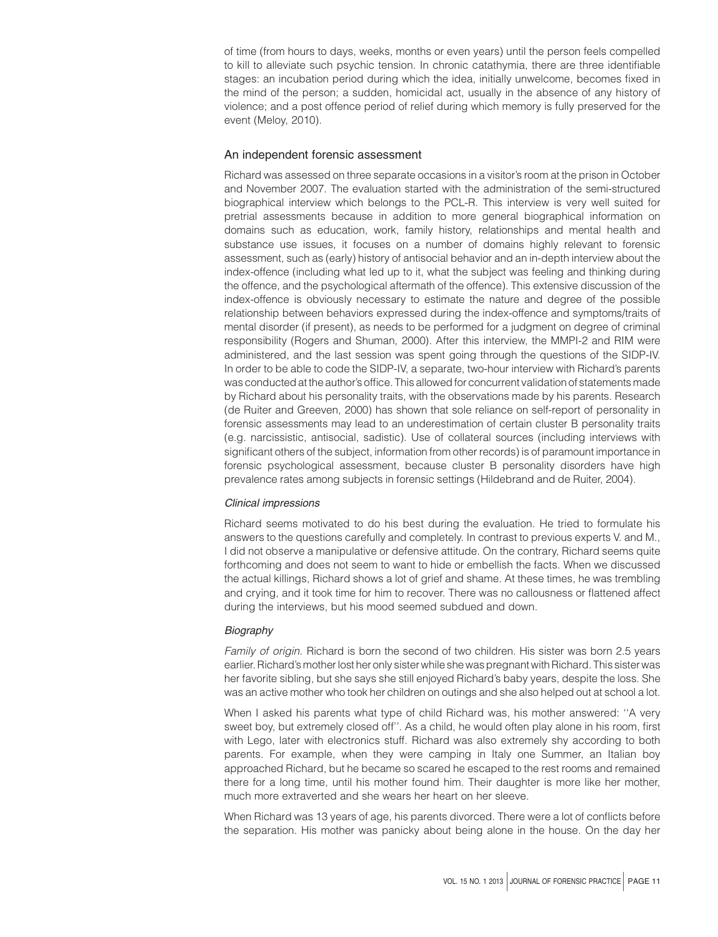of time (from hours to days, weeks, months or even years) until the person feels compelled to kill to alleviate such psychic tension. In chronic catathymia, there are three identifiable stages: an incubation period during which the idea, initially unwelcome, becomes fixed in the mind of the person; a sudden, homicidal act, usually in the absence of any history of violence; and a post offence period of relief during which memory is fully preserved for the event (Meloy, 2010).

## An independent forensic assessment

Richard was assessed on three separate occasions in a visitor's room at the prison in October and November 2007. The evaluation started with the administration of the semi-structured biographical interview which belongs to the PCL-R. This interview is very well suited for pretrial assessments because in addition to more general biographical information on domains such as education, work, family history, relationships and mental health and substance use issues, it focuses on a number of domains highly relevant to forensic assessment, such as (early) history of antisocial behavior and an in-depth interview about the index-offence (including what led up to it, what the subject was feeling and thinking during the offence, and the psychological aftermath of the offence). This extensive discussion of the index-offence is obviously necessary to estimate the nature and degree of the possible relationship between behaviors expressed during the index-offence and symptoms/traits of mental disorder (if present), as needs to be performed for a judgment on degree of criminal responsibility (Rogers and Shuman, 2000). After this interview, the MMPI-2 and RIM were administered, and the last session was spent going through the questions of the SIDP-IV. In order to be able to code the SIDP-IV, a separate, two-hour interview with Richard's parents was conducted at the author's office. This allowed for concurrent validation of statements made by Richard about his personality traits, with the observations made by his parents. Research (de Ruiter and Greeven, 2000) has shown that sole reliance on self-report of personality in forensic assessments may lead to an underestimation of certain cluster B personality traits (e.g. narcissistic, antisocial, sadistic). Use of collateral sources (including interviews with significant others of the subject, information from other records) is of paramount importance in forensic psychological assessment, because cluster B personality disorders have high prevalence rates among subjects in forensic settings (Hildebrand and de Ruiter, 2004).

## Clinical impressions

Richard seems motivated to do his best during the evaluation. He tried to formulate his answers to the questions carefully and completely. In contrast to previous experts V. and M., I did not observe a manipulative or defensive attitude. On the contrary, Richard seems quite forthcoming and does not seem to want to hide or embellish the facts. When we discussed the actual killings, Richard shows a lot of grief and shame. At these times, he was trembling and crying, and it took time for him to recover. There was no callousness or flattened affect during the interviews, but his mood seemed subdued and down.

## **Biography**

Family of origin. Richard is born the second of two children. His sister was born 2.5 years earlier. Richard's mother lost her only sister while she was pregnant with Richard. This sister was her favorite sibling, but she says she still enjoyed Richard's baby years, despite the loss. She was an active mother who took her children on outings and she also helped out at school a lot.

When I asked his parents what type of child Richard was, his mother answered: ''A very sweet boy, but extremely closed off''. As a child, he would often play alone in his room, first with Lego, later with electronics stuff. Richard was also extremely shy according to both parents. For example, when they were camping in Italy one Summer, an Italian boy approached Richard, but he became so scared he escaped to the rest rooms and remained there for a long time, until his mother found him. Their daughter is more like her mother, much more extraverted and she wears her heart on her sleeve.

When Richard was 13 years of age, his parents divorced. There were a lot of conflicts before the separation. His mother was panicky about being alone in the house. On the day her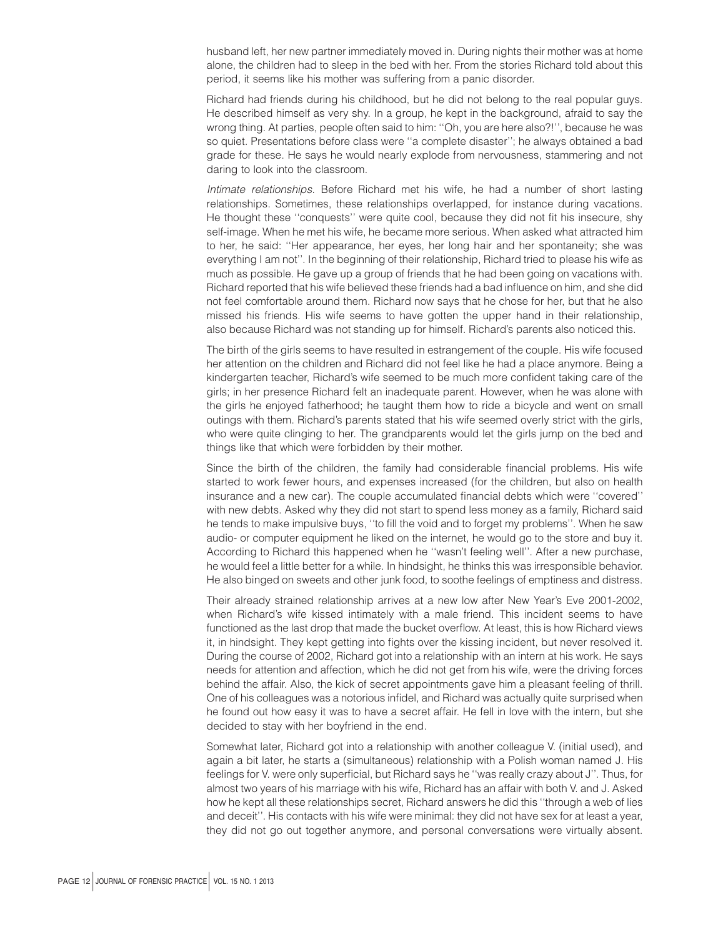husband left, her new partner immediately moved in. During nights their mother was at home alone, the children had to sleep in the bed with her. From the stories Richard told about this period, it seems like his mother was suffering from a panic disorder.

Richard had friends during his childhood, but he did not belong to the real popular guys. He described himself as very shy. In a group, he kept in the background, afraid to say the wrong thing. At parties, people often said to him: ''Oh, you are here also?!'', because he was so quiet. Presentations before class were ''a complete disaster''; he always obtained a bad grade for these. He says he would nearly explode from nervousness, stammering and not daring to look into the classroom.

Intimate relationships. Before Richard met his wife, he had a number of short lasting relationships. Sometimes, these relationships overlapped, for instance during vacations. He thought these ''conquests'' were quite cool, because they did not fit his insecure, shy self-image. When he met his wife, he became more serious. When asked what attracted him to her, he said: ''Her appearance, her eyes, her long hair and her spontaneity; she was everything I am not''. In the beginning of their relationship, Richard tried to please his wife as much as possible. He gave up a group of friends that he had been going on vacations with. Richard reported that his wife believed these friends had a bad influence on him, and she did not feel comfortable around them. Richard now says that he chose for her, but that he also missed his friends. His wife seems to have gotten the upper hand in their relationship, also because Richard was not standing up for himself. Richard's parents also noticed this.

The birth of the girls seems to have resulted in estrangement of the couple. His wife focused her attention on the children and Richard did not feel like he had a place anymore. Being a kindergarten teacher, Richard's wife seemed to be much more confident taking care of the girls; in her presence Richard felt an inadequate parent. However, when he was alone with the girls he enjoyed fatherhood; he taught them how to ride a bicycle and went on small outings with them. Richard's parents stated that his wife seemed overly strict with the girls, who were quite clinging to her. The grandparents would let the girls jump on the bed and things like that which were forbidden by their mother.

Since the birth of the children, the family had considerable financial problems. His wife started to work fewer hours, and expenses increased (for the children, but also on health insurance and a new car). The couple accumulated financial debts which were ''covered'' with new debts. Asked why they did not start to spend less money as a family, Richard said he tends to make impulsive buys, ''to fill the void and to forget my problems''. When he saw audio- or computer equipment he liked on the internet, he would go to the store and buy it. According to Richard this happened when he ''wasn't feeling well''. After a new purchase, he would feel a little better for a while. In hindsight, he thinks this was irresponsible behavior. He also binged on sweets and other junk food, to soothe feelings of emptiness and distress.

Their already strained relationship arrives at a new low after New Year's Eve 2001-2002, when Richard's wife kissed intimately with a male friend. This incident seems to have functioned as the last drop that made the bucket overflow. At least, this is how Richard views it, in hindsight. They kept getting into fights over the kissing incident, but never resolved it. During the course of 2002, Richard got into a relationship with an intern at his work. He says needs for attention and affection, which he did not get from his wife, were the driving forces behind the affair. Also, the kick of secret appointments gave him a pleasant feeling of thrill. One of his colleagues was a notorious infidel, and Richard was actually quite surprised when he found out how easy it was to have a secret affair. He fell in love with the intern, but she decided to stay with her boyfriend in the end.

Somewhat later, Richard got into a relationship with another colleague V. (initial used), and again a bit later, he starts a (simultaneous) relationship with a Polish woman named J. His feelings for V. were only superficial, but Richard says he ''was really crazy about J''. Thus, for almost two years of his marriage with his wife, Richard has an affair with both V. and J. Asked how he kept all these relationships secret, Richard answers he did this ''through a web of lies and deceit''. His contacts with his wife were minimal: they did not have sex for at least a year, they did not go out together anymore, and personal conversations were virtually absent.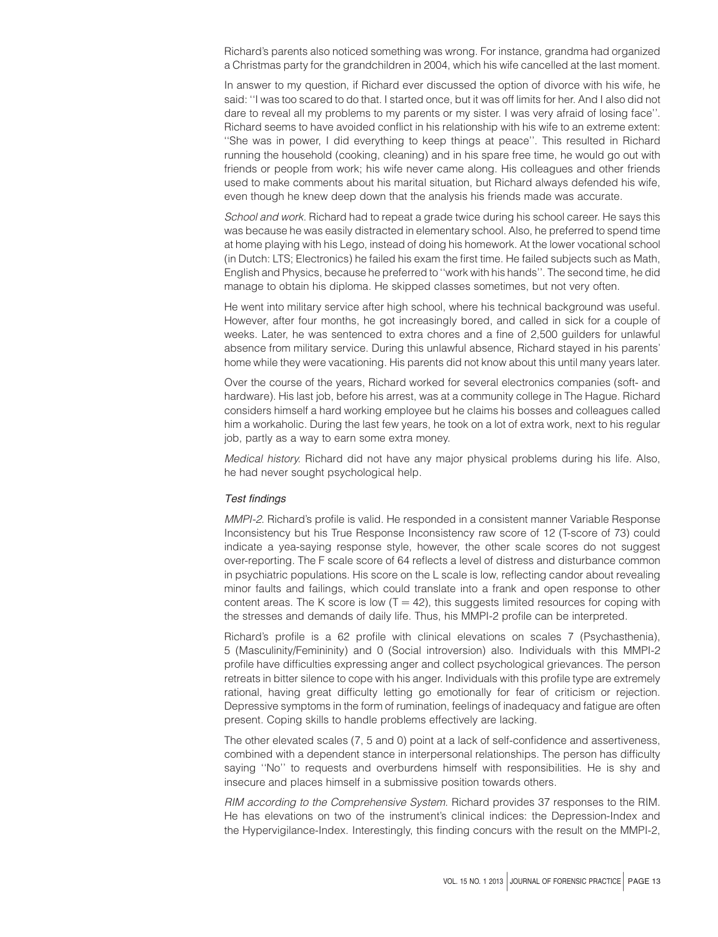Richard's parents also noticed something was wrong. For instance, grandma had organized a Christmas party for the grandchildren in 2004, which his wife cancelled at the last moment.

In answer to my question, if Richard ever discussed the option of divorce with his wife, he said: ''I was too scared to do that. I started once, but it was off limits for her. And I also did not dare to reveal all my problems to my parents or my sister. I was very afraid of losing face''. Richard seems to have avoided conflict in his relationship with his wife to an extreme extent: ''She was in power, I did everything to keep things at peace''. This resulted in Richard running the household (cooking, cleaning) and in his spare free time, he would go out with friends or people from work; his wife never came along. His colleagues and other friends used to make comments about his marital situation, but Richard always defended his wife, even though he knew deep down that the analysis his friends made was accurate.

School and work. Richard had to repeat a grade twice during his school career. He says this was because he was easily distracted in elementary school. Also, he preferred to spend time at home playing with his Lego, instead of doing his homework. At the lower vocational school (in Dutch: LTS; Electronics) he failed his exam the first time. He failed subjects such as Math, English and Physics, because he preferred to ''work with his hands''. The second time, he did manage to obtain his diploma. He skipped classes sometimes, but not very often.

He went into military service after high school, where his technical background was useful. However, after four months, he got increasingly bored, and called in sick for a couple of weeks. Later, he was sentenced to extra chores and a fine of 2,500 guilders for unlawful absence from military service. During this unlawful absence, Richard stayed in his parents' home while they were vacationing. His parents did not know about this until many years later.

Over the course of the years, Richard worked for several electronics companies (soft- and hardware). His last job, before his arrest, was at a community college in The Hague. Richard considers himself a hard working employee but he claims his bosses and colleagues called him a workaholic. During the last few years, he took on a lot of extra work, next to his regular job, partly as a way to earn some extra money.

Medical history. Richard did not have any major physical problems during his life. Also, he had never sought psychological help.

#### Test findings

MMPI-2. Richard's profile is valid. He responded in a consistent manner Variable Response Inconsistency but his True Response Inconsistency raw score of 12 (T-score of 73) could indicate a yea-saying response style, however, the other scale scores do not suggest over-reporting. The F scale score of 64 reflects a level of distress and disturbance common in psychiatric populations. His score on the L scale is low, reflecting candor about revealing minor faults and failings, which could translate into a frank and open response to other content areas. The K score is low  $(T = 42)$ , this suggests limited resources for coping with the stresses and demands of daily life. Thus, his MMPI-2 profile can be interpreted.

Richard's profile is a 62 profile with clinical elevations on scales 7 (Psychasthenia), 5 (Masculinity/Femininity) and 0 (Social introversion) also. Individuals with this MMPI-2 profile have difficulties expressing anger and collect psychological grievances. The person retreats in bitter silence to cope with his anger. Individuals with this profile type are extremely rational, having great difficulty letting go emotionally for fear of criticism or rejection. Depressive symptoms in the form of rumination, feelings of inadequacy and fatigue are often present. Coping skills to handle problems effectively are lacking.

The other elevated scales (7, 5 and 0) point at a lack of self-confidence and assertiveness, combined with a dependent stance in interpersonal relationships. The person has difficulty saying ''No'' to requests and overburdens himself with responsibilities. He is shy and insecure and places himself in a submissive position towards others.

RIM according to the Comprehensive System. Richard provides 37 responses to the RIM. He has elevations on two of the instrument's clinical indices: the Depression-Index and the Hypervigilance-Index. Interestingly, this finding concurs with the result on the MMPI-2,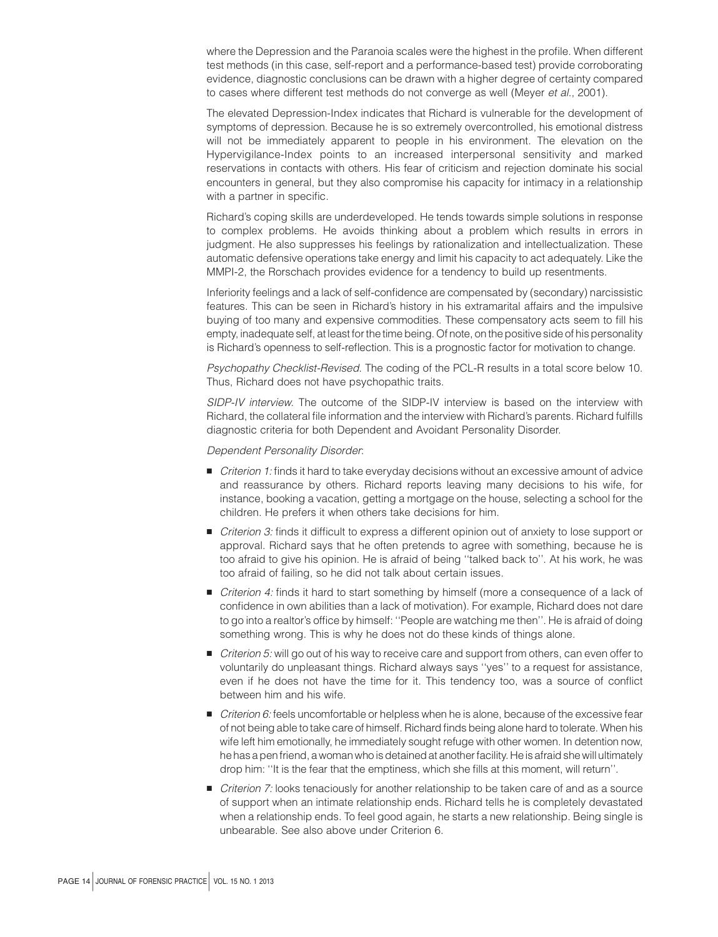where the Depression and the Paranoia scales were the highest in the profile. When different test methods (in this case, self-report and a performance-based test) provide corroborating evidence, diagnostic conclusions can be drawn with a higher degree of certainty compared to cases where different test methods do not converge as well (Meyer et al., 2001).

The elevated Depression-Index indicates that Richard is vulnerable for the development of symptoms of depression. Because he is so extremely overcontrolled, his emotional distress will not be immediately apparent to people in his environment. The elevation on the Hypervigilance-Index points to an increased interpersonal sensitivity and marked reservations in contacts with others. His fear of criticism and rejection dominate his social encounters in general, but they also compromise his capacity for intimacy in a relationship with a partner in specific.

Richard's coping skills are underdeveloped. He tends towards simple solutions in response to complex problems. He avoids thinking about a problem which results in errors in judgment. He also suppresses his feelings by rationalization and intellectualization. These automatic defensive operations take energy and limit his capacity to act adequately. Like the MMPI-2, the Rorschach provides evidence for a tendency to build up resentments.

Inferiority feelings and a lack of self-confidence are compensated by (secondary) narcissistic features. This can be seen in Richard's history in his extramarital affairs and the impulsive buying of too many and expensive commodities. These compensatory acts seem to fill his empty, inadequate self, at least for the time being. Of note, on the positive side of his personality is Richard's openness to self-reflection. This is a prognostic factor for motivation to change.

Psychopathy Checklist-Revised. The coding of the PCL-R results in a total score below 10. Thus, Richard does not have psychopathic traits.

SIDP-IV interview. The outcome of the SIDP-IV interview is based on the interview with Richard, the collateral file information and the interview with Richard's parents. Richard fulfills diagnostic criteria for both Dependent and Avoidant Personality Disorder.

Dependent Personality Disorder:

- $\blacksquare$  Criterion 1: finds it hard to take everyday decisions without an excessive amount of advice and reassurance by others. Richard reports leaving many decisions to his wife, for instance, booking a vacation, getting a mortgage on the house, selecting a school for the children. He prefers it when others take decisions for him.
- F Criterion 3: finds it difficult to express a different opinion out of anxiety to lose support or approval. Richard says that he often pretends to agree with something, because he is too afraid to give his opinion. He is afraid of being ''talked back to''. At his work, he was too afraid of failing, so he did not talk about certain issues.
- **B** Criterion 4: finds it hard to start something by himself (more a consequence of a lack of confidence in own abilities than a lack of motivation). For example, Richard does not dare to go into a realtor's office by himself: ''People are watching me then''. He is afraid of doing something wrong. This is why he does not do these kinds of things alone.
- F Criterion 5: will go out of his way to receive care and support from others, can even offer to voluntarily do unpleasant things. Richard always says ''yes'' to a request for assistance, even if he does not have the time for it. This tendency too, was a source of conflict between him and his wife.
- Criterion  $6$ : feels uncomfortable or helpless when he is alone, because of the excessive fear of not being able to take care of himself. Richard finds being alone hard to tolerate. When his wife left him emotionally, he immediately sought refuge with other women. In detention now, he has a pen friend, a woman who is detained at another facility. He is afraid she will ultimately drop him: ''It is the fear that the emptiness, which she fills at this moment, will return''.
- **B** Criterion 7: looks tenaciously for another relationship to be taken care of and as a source of support when an intimate relationship ends. Richard tells he is completely devastated when a relationship ends. To feel good again, he starts a new relationship. Being single is unbearable. See also above under Criterion 6.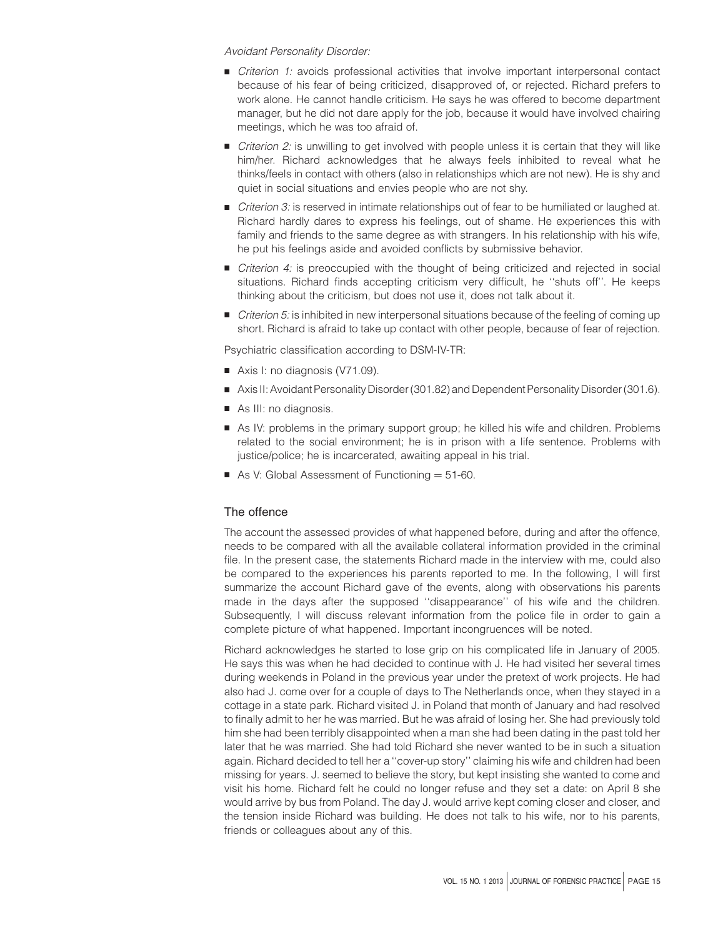Avoidant Personality Disorder:

- **B** Criterion 1: avoids professional activities that involve important interpersonal contact because of his fear of being criticized, disapproved of, or rejected. Richard prefers to work alone. He cannot handle criticism. He says he was offered to become department manager, but he did not dare apply for the job, because it would have involved chairing meetings, which he was too afraid of.
- F Criterion 2: is unwilling to get involved with people unless it is certain that they will like him/her. Richard acknowledges that he always feels inhibited to reveal what he thinks/feels in contact with others (also in relationships which are not new). He is shy and quiet in social situations and envies people who are not shy.
- F Criterion 3: is reserved in intimate relationships out of fear to be humiliated or laughed at. Richard hardly dares to express his feelings, out of shame. He experiences this with family and friends to the same degree as with strangers. In his relationship with his wife, he put his feelings aside and avoided conflicts by submissive behavior.
- **B** Criterion 4: is preoccupied with the thought of being criticized and rejected in social situations. Richard finds accepting criticism very difficult, he ''shuts off''. He keeps thinking about the criticism, but does not use it, does not talk about it.
- F Criterion 5: is inhibited in new interpersonal situations because of the feeling of coming up short. Richard is afraid to take up contact with other people, because of fear of rejection.

Psychiatric classification according to DSM-IV-TR:

- Axis I: no diagnosis (V71.09).
- **B** Axis II: Avoidant Personality Disorder (301.82) and Dependent Personality Disorder (301.6).
- As III: no diagnosis.
- As IV: problems in the primary support group; he killed his wife and children. Problems related to the social environment; he is in prison with a life sentence. Problems with justice/police; he is incarcerated, awaiting appeal in his trial.
- $\blacksquare$  As V: Global Assessment of Functioning = 51-60.

## The offence

The account the assessed provides of what happened before, during and after the offence, needs to be compared with all the available collateral information provided in the criminal file. In the present case, the statements Richard made in the interview with me, could also be compared to the experiences his parents reported to me. In the following, I will first summarize the account Richard gave of the events, along with observations his parents made in the days after the supposed ''disappearance'' of his wife and the children. Subsequently, I will discuss relevant information from the police file in order to gain a complete picture of what happened. Important incongruences will be noted.

Richard acknowledges he started to lose grip on his complicated life in January of 2005. He says this was when he had decided to continue with J. He had visited her several times during weekends in Poland in the previous year under the pretext of work projects. He had also had J. come over for a couple of days to The Netherlands once, when they stayed in a cottage in a state park. Richard visited J. in Poland that month of January and had resolved to finally admit to her he was married. But he was afraid of losing her. She had previously told him she had been terribly disappointed when a man she had been dating in the past told her later that he was married. She had told Richard she never wanted to be in such a situation again. Richard decided to tell her a ''cover-up story'' claiming his wife and children had been missing for years. J. seemed to believe the story, but kept insisting she wanted to come and visit his home. Richard felt he could no longer refuse and they set a date: on April 8 she would arrive by bus from Poland. The day J. would arrive kept coming closer and closer, and the tension inside Richard was building. He does not talk to his wife, nor to his parents, friends or colleagues about any of this.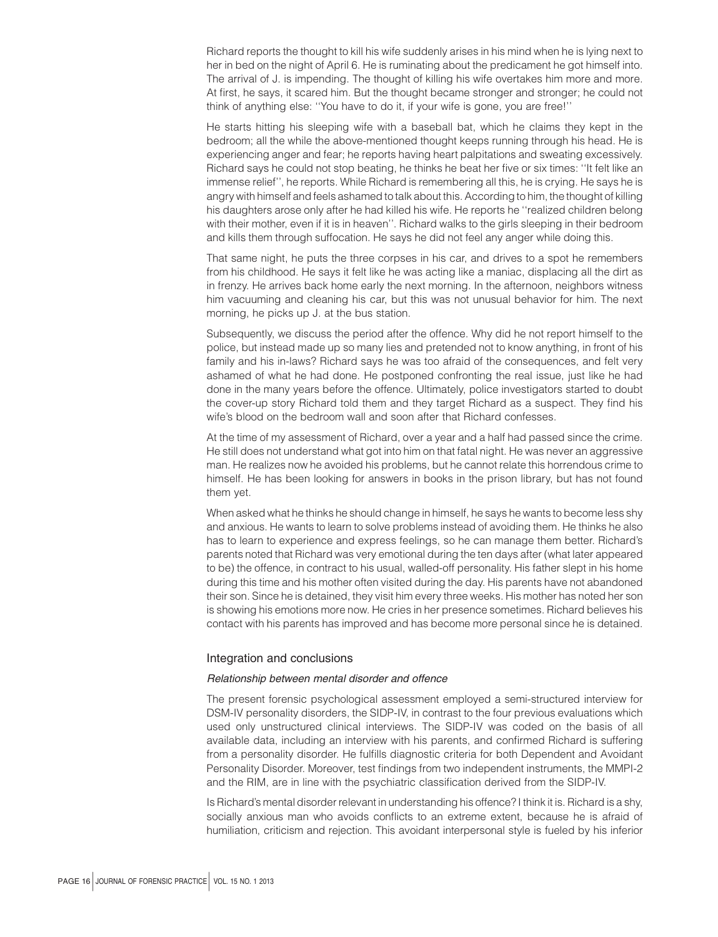Richard reports the thought to kill his wife suddenly arises in his mind when he is lying next to her in bed on the night of April 6. He is ruminating about the predicament he got himself into. The arrival of J. is impending. The thought of killing his wife overtakes him more and more. At first, he says, it scared him. But the thought became stronger and stronger; he could not think of anything else: ''You have to do it, if your wife is gone, you are free!''

He starts hitting his sleeping wife with a baseball bat, which he claims they kept in the bedroom; all the while the above-mentioned thought keeps running through his head. He is experiencing anger and fear; he reports having heart palpitations and sweating excessively. Richard says he could not stop beating, he thinks he beat her five or six times: ''It felt like an immense relief'', he reports. While Richard is remembering all this, he is crying. He says he is angry with himself and feels ashamed to talk about this. According to him, the thought of killing his daughters arose only after he had killed his wife. He reports he ''realized children belong with their mother, even if it is in heaven''. Richard walks to the girls sleeping in their bedroom and kills them through suffocation. He says he did not feel any anger while doing this.

That same night, he puts the three corpses in his car, and drives to a spot he remembers from his childhood. He says it felt like he was acting like a maniac, displacing all the dirt as in frenzy. He arrives back home early the next morning. In the afternoon, neighbors witness him vacuuming and cleaning his car, but this was not unusual behavior for him. The next morning, he picks up J. at the bus station.

Subsequently, we discuss the period after the offence. Why did he not report himself to the police, but instead made up so many lies and pretended not to know anything, in front of his family and his in-laws? Richard says he was too afraid of the consequences, and felt very ashamed of what he had done. He postponed confronting the real issue, just like he had done in the many years before the offence. Ultimately, police investigators started to doubt the cover-up story Richard told them and they target Richard as a suspect. They find his wife's blood on the bedroom wall and soon after that Richard confesses.

At the time of my assessment of Richard, over a year and a half had passed since the crime. He still does not understand what got into him on that fatal night. He was never an aggressive man. He realizes now he avoided his problems, but he cannot relate this horrendous crime to himself. He has been looking for answers in books in the prison library, but has not found them yet.

When asked what he thinks he should change in himself, he says he wants to become less shy and anxious. He wants to learn to solve problems instead of avoiding them. He thinks he also has to learn to experience and express feelings, so he can manage them better. Richard's parents noted that Richard was very emotional during the ten days after (what later appeared to be) the offence, in contract to his usual, walled-off personality. His father slept in his home during this time and his mother often visited during the day. His parents have not abandoned their son. Since he is detained, they visit him every three weeks. His mother has noted her son is showing his emotions more now. He cries in her presence sometimes. Richard believes his contact with his parents has improved and has become more personal since he is detained.

#### Integration and conclusions

#### Relationship between mental disorder and offence

The present forensic psychological assessment employed a semi-structured interview for DSM-IV personality disorders, the SIDP-IV, in contrast to the four previous evaluations which used only unstructured clinical interviews. The SIDP-IV was coded on the basis of all available data, including an interview with his parents, and confirmed Richard is suffering from a personality disorder. He fulfills diagnostic criteria for both Dependent and Avoidant Personality Disorder. Moreover, test findings from two independent instruments, the MMPI-2 and the RIM, are in line with the psychiatric classification derived from the SIDP-IV.

Is Richard's mental disorder relevant in understanding his offence? I think it is. Richard is a shy, socially anxious man who avoids conflicts to an extreme extent, because he is afraid of humiliation, criticism and rejection. This avoidant interpersonal style is fueled by his inferior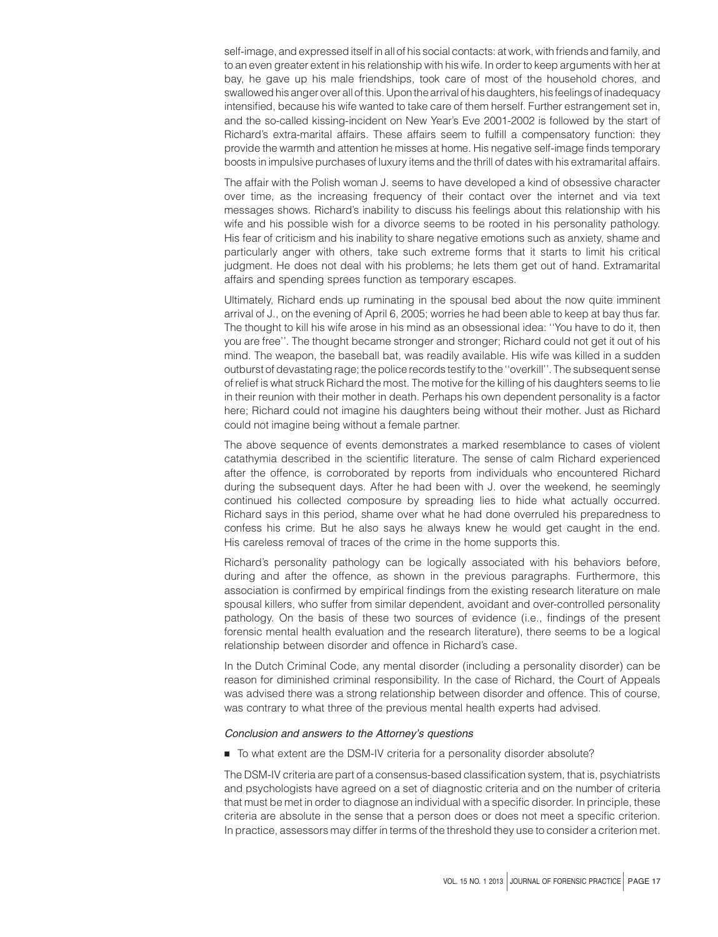self-image, and expressed itself in all of his social contacts: at work, with friends and family, and to an even greater extent in his relationship with his wife. In order to keep arguments with her at bay, he gave up his male friendships, took care of most of the household chores, and swallowed his anger over all of this. Upon the arrival of his daughters, hisfeelings of inadequacy intensified, because his wife wanted to take care of them herself. Further estrangement set in, and the so-called kissing-incident on New Year's Eve 2001-2002 is followed by the start of Richard's extra-marital affairs. These affairs seem to fulfill a compensatory function: they provide the warmth and attention he misses at home. His negative self-image finds temporary boosts in impulsive purchases of luxury items and the thrill of dates with his extramarital affairs.

The affair with the Polish woman J. seems to have developed a kind of obsessive character over time, as the increasing frequency of their contact over the internet and via text messages shows. Richard's inability to discuss his feelings about this relationship with his wife and his possible wish for a divorce seems to be rooted in his personality pathology. His fear of criticism and his inability to share negative emotions such as anxiety, shame and particularly anger with others, take such extreme forms that it starts to limit his critical judgment. He does not deal with his problems; he lets them get out of hand. Extramarital affairs and spending sprees function as temporary escapes.

Ultimately, Richard ends up ruminating in the spousal bed about the now quite imminent arrival of J., on the evening of April 6, 2005; worries he had been able to keep at bay thus far. The thought to kill his wife arose in his mind as an obsessional idea: ''You have to do it, then you are free''. The thought became stronger and stronger; Richard could not get it out of his mind. The weapon, the baseball bat, was readily available. His wife was killed in a sudden outburst of devastating rage; the police records testify to the ''overkill''. The subsequent sense of relief is what struck Richard the most. The motive for the killing of his daughters seems to lie in their reunion with their mother in death. Perhaps his own dependent personality is a factor here; Richard could not imagine his daughters being without their mother. Just as Richard could not imagine being without a female partner.

The above sequence of events demonstrates a marked resemblance to cases of violent catathymia described in the scientific literature. The sense of calm Richard experienced after the offence, is corroborated by reports from individuals who encountered Richard during the subsequent days. After he had been with J. over the weekend, he seemingly continued his collected composure by spreading lies to hide what actually occurred. Richard says in this period, shame over what he had done overruled his preparedness to confess his crime. But he also says he always knew he would get caught in the end. His careless removal of traces of the crime in the home supports this.

Richard's personality pathology can be logically associated with his behaviors before, during and after the offence, as shown in the previous paragraphs. Furthermore, this association is confirmed by empirical findings from the existing research literature on male spousal killers, who suffer from similar dependent, avoidant and over-controlled personality pathology. On the basis of these two sources of evidence (i.e., findings of the present forensic mental health evaluation and the research literature), there seems to be a logical relationship between disorder and offence in Richard's case.

In the Dutch Criminal Code, any mental disorder (including a personality disorder) can be reason for diminished criminal responsibility. In the case of Richard, the Court of Appeals was advised there was a strong relationship between disorder and offence. This of course, was contrary to what three of the previous mental health experts had advised.

#### Conclusion and answers to the Attorney's questions

■ To what extent are the DSM-IV criteria for a personality disorder absolute?

The DSM-IV criteria are part of a consensus-based classification system, that is, psychiatrists and psychologists have agreed on a set of diagnostic criteria and on the number of criteria that must be met in order to diagnose an individual with a specific disorder. In principle, these criteria are absolute in the sense that a person does or does not meet a specific criterion. In practice, assessors may differ in terms of the threshold they use to consider a criterion met.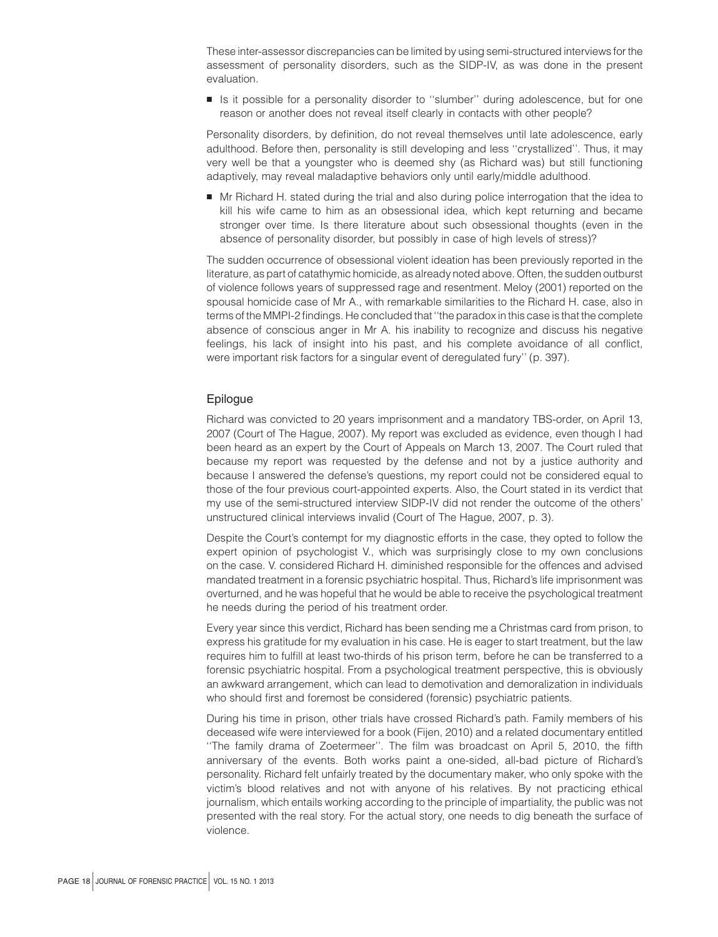These inter-assessor discrepancies can be limited by using semi-structured interviews for the assessment of personality disorders, such as the SIDP-IV, as was done in the present evaluation.

■ Is it possible for a personality disorder to "slumber" during adolescence, but for one reason or another does not reveal itself clearly in contacts with other people?

Personality disorders, by definition, do not reveal themselves until late adolescence, early adulthood. Before then, personality is still developing and less ''crystallized''. Thus, it may very well be that a youngster who is deemed shy (as Richard was) but still functioning adaptively, may reveal maladaptive behaviors only until early/middle adulthood.

**B** Mr Richard H. stated during the trial and also during police interrogation that the idea to kill his wife came to him as an obsessional idea, which kept returning and became stronger over time. Is there literature about such obsessional thoughts (even in the absence of personality disorder, but possibly in case of high levels of stress)?

The sudden occurrence of obsessional violent ideation has been previously reported in the literature, as part of catathymic homicide, as already noted above. Often, the sudden outburst of violence follows years of suppressed rage and resentment. Meloy (2001) reported on the spousal homicide case of Mr A., with remarkable similarities to the Richard H. case, also in terms of the MMPI-2 findings. He concluded that ''the paradox in this case is that the complete absence of conscious anger in Mr A. his inability to recognize and discuss his negative feelings, his lack of insight into his past, and his complete avoidance of all conflict, were important risk factors for a singular event of deregulated fury'' (p. 397).

## Epilogue

Richard was convicted to 20 years imprisonment and a mandatory TBS-order, on April 13, 2007 (Court of The Hague, 2007). My report was excluded as evidence, even though I had been heard as an expert by the Court of Appeals on March 13, 2007. The Court ruled that because my report was requested by the defense and not by a justice authority and because I answered the defense's questions, my report could not be considered equal to those of the four previous court-appointed experts. Also, the Court stated in its verdict that my use of the semi-structured interview SIDP-IV did not render the outcome of the others' unstructured clinical interviews invalid (Court of The Hague, 2007, p. 3).

Despite the Court's contempt for my diagnostic efforts in the case, they opted to follow the expert opinion of psychologist V., which was surprisingly close to my own conclusions on the case. V. considered Richard H. diminished responsible for the offences and advised mandated treatment in a forensic psychiatric hospital. Thus, Richard's life imprisonment was overturned, and he was hopeful that he would be able to receive the psychological treatment he needs during the period of his treatment order.

Every year since this verdict, Richard has been sending me a Christmas card from prison, to express his gratitude for my evaluation in his case. He is eager to start treatment, but the law requires him to fulfill at least two-thirds of his prison term, before he can be transferred to a forensic psychiatric hospital. From a psychological treatment perspective, this is obviously an awkward arrangement, which can lead to demotivation and demoralization in individuals who should first and foremost be considered (forensic) psychiatric patients.

During his time in prison, other trials have crossed Richard's path. Family members of his deceased wife were interviewed for a book (Fijen, 2010) and a related documentary entitled ''The family drama of Zoetermeer''. The film was broadcast on April 5, 2010, the fifth anniversary of the events. Both works paint a one-sided, all-bad picture of Richard's personality. Richard felt unfairly treated by the documentary maker, who only spoke with the victim's blood relatives and not with anyone of his relatives. By not practicing ethical journalism, which entails working according to the principle of impartiality, the public was not presented with the real story. For the actual story, one needs to dig beneath the surface of violence.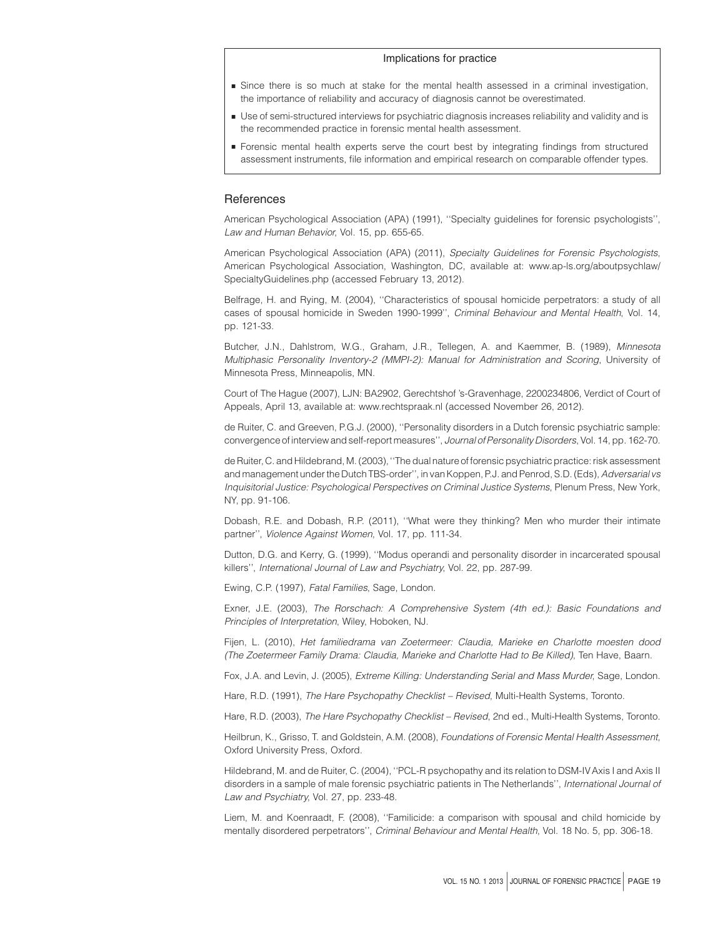#### Implications for practice

- **B** Since there is so much at stake for the mental health assessed in a criminal investigation, the importance of reliability and accuracy of diagnosis cannot be overestimated.
- **B** Use of semi-structured interviews for psychiatric diagnosis increases reliability and validity and is the recommended practice in forensic mental health assessment.
- **Forensic mental health experts serve the court best by integrating findings from structured** assessment instruments, file information and empirical research on comparable offender types.

#### **References**

American Psychological Association (APA) (1991), ''Specialty guidelines for forensic psychologists'', Law and Human Behavior, Vol. 15, pp. 655-65.

American Psychological Association (APA) (2011), Specialty Guidelines for Forensic Psychologists, American Psychological Association, Washington, DC, available at: www.ap-ls.org/aboutpsychlaw/ SpecialtyGuidelines.php (accessed February 13, 2012).

Belfrage, H. and Rying, M. (2004), ''Characteristics of spousal homicide perpetrators: a study of all cases of spousal homicide in Sweden 1990-1999'', Criminal Behaviour and Mental Health, Vol. 14, pp. 121-33.

Butcher, J.N., Dahlstrom, W.G., Graham, J.R., Tellegen, A. and Kaemmer, B. (1989), Minnesota Multiphasic Personality Inventory-2 (MMPI-2): Manual for Administration and Scoring, University of Minnesota Press, Minneapolis, MN.

Court of The Hague (2007), LJN: BA2902, Gerechtshof 's-Gravenhage, 2200234806, Verdict of Court of Appeals, April 13, available at: www.rechtspraak.nl (accessed November 26, 2012).

de Ruiter, C. and Greeven, P.G.J. (2000), ''Personality disorders in a Dutch forensic psychiatric sample: convergence of interview and self-report measures'', Journal of Personality Disorders, Vol. 14, pp. 162-70.

de Ruiter, C. and Hildebrand, M. (2003), ''The dual nature of forensic psychiatric practice: risk assessment and management under the Dutch TBS-order", in van Koppen, P.J. and Penrod, S.D. (Eds), Adversarial vs Inquisitorial Justice: Psychological Perspectives on Criminal Justice Systems, Plenum Press, New York, NY, pp. 91-106.

Dobash, R.E. and Dobash, R.P. (2011), ''What were they thinking? Men who murder their intimate partner'', Violence Against Women, Vol. 17, pp. 111-34.

Dutton, D.G. and Kerry, G. (1999), ''Modus operandi and personality disorder in incarcerated spousal killers'', International Journal of Law and Psychiatry, Vol. 22, pp. 287-99.

Ewing, C.P. (1997), Fatal Families, Sage, London.

Exner, J.E. (2003), The Rorschach: A Comprehensive System (4th ed.): Basic Foundations and Principles of Interpretation, Wiley, Hoboken, NJ.

Fijen, L. (2010), Het familiedrama van Zoetermeer: Claudia, Marieke en Charlotte moesten dood (The Zoetermeer Family Drama: Claudia, Marieke and Charlotte Had to Be Killed), Ten Have, Baarn.

Fox, J.A. and Levin, J. (2005), Extreme Killing: Understanding Serial and Mass Murder, Sage, London.

Hare, R.D. (1991), The Hare Psychopathy Checklist – Revised, Multi-Health Systems, Toronto.

Hare, R.D. (2003), The Hare Psychopathy Checklist - Revised, 2nd ed., Multi-Health Systems, Toronto.

Heilbrun, K., Grisso, T. and Goldstein, A.M. (2008), Foundations of Forensic Mental Health Assessment, Oxford University Press, Oxford.

Hildebrand, M. and de Ruiter, C. (2004), "PCL-R psychopathy and its relation to DSM-IV Axis I and Axis II disorders in a sample of male forensic psychiatric patients in The Netherlands'', International Journal of Law and Psychiatry, Vol. 27, pp. 233-48.

Liem, M. and Koenraadt, F. (2008), ''Familicide: a comparison with spousal and child homicide by mentally disordered perpetrators'', Criminal Behaviour and Mental Health, Vol. 18 No. 5, pp. 306-18.